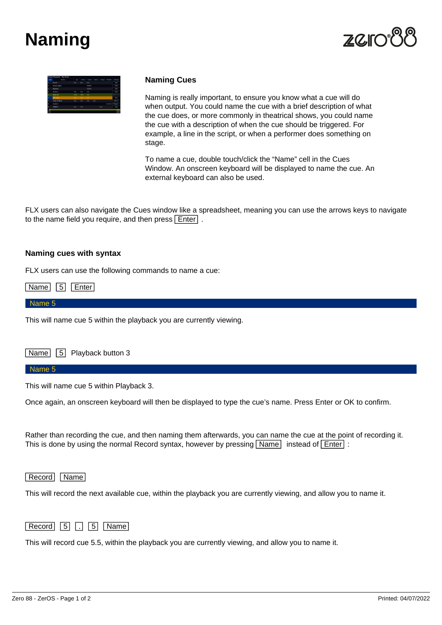# **Naming**





# **Naming Cues**

Naming is really important, to ensure you know what a cue will do when output. You could name the cue with a brief description of what the cue does, or more commonly in theatrical shows, you could name the cue with a description of when the cue should be triggered. For example, a line in the script, or when a performer does something on stage.

To name a cue, double touch/click the "Name" cell in the Cues Window. An onscreen keyboard will be displayed to name the cue. An external keyboard can also be used.

FLX users can also navigate the Cues window like a spreadsheet, meaning you can use the arrows keys to navigate to the name field you require, and then press  $\boxed{\text{Enter}}$ .

### **Naming cues with syntax**

FLX users can use the following commands to name a cue:

Name 5 Enter

#### Name 5

This will name cue 5 within the playback you are currently viewing.

Name 5 Playback button 3

#### Name 5

This will name cue 5 within Playback 3.

Once again, an onscreen keyboard will then be displayed to type the cue's name. Press Enter or OK to confirm.

Rather than recording the cue, and then naming them afterwards, you can name the cue at the point of recording it. This is done by using the normal Record syntax, however by pressing  $\boxed{\text{Name}}$  instead of  $\boxed{\text{Enter}}$ :

## Record Name

This will record the next available cue, within the playback you are currently viewing, and allow you to name it.



This will record cue 5.5, within the playback you are currently viewing, and allow you to name it.